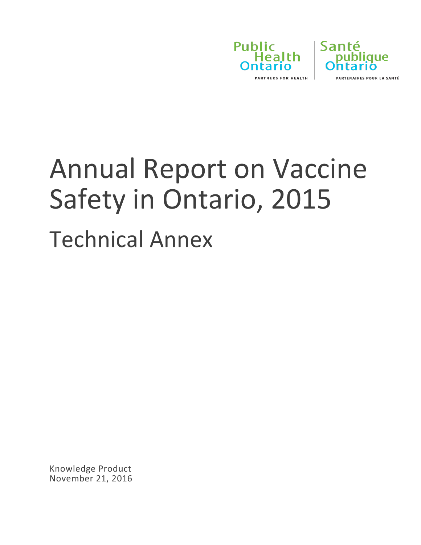



# Annual Report on Vaccine Safety in Ontario, 2015 Technical Annex

Knowledge Product November 21, 2016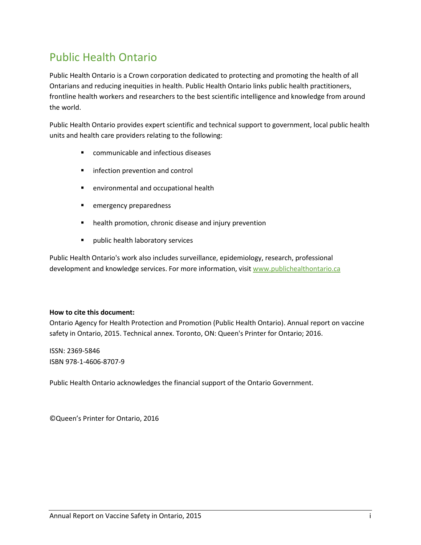### Public Health Ontario

Public Health Ontario is a Crown corporation dedicated to protecting and promoting the health of all Ontarians and reducing inequities in health. Public Health Ontario links public health practitioners, frontline health workers and researchers to the best scientific intelligence and knowledge from around the world.

Public Health Ontario provides expert scientific and technical support to government, local public health units and health care providers relating to the following:

- **E** communicable and infectious diseases
- **I** infection prevention and control
- environmental and occupational health
- emergency preparedness
- **•** health promotion, chronic disease and injury prevention
- **Parablic health laboratory services**

Public Health Ontario's work also includes surveillance, epidemiology, research, professional development and knowledge services. For more information, visit [www.publichealthontario.ca](http://www.publichealthontario.ca/)

#### **How to cite this document:**

Ontario Agency for Health Protection and Promotion (Public Health Ontario). Annual report on vaccine safety in Ontario, 2015. Technical annex. Toronto, ON: Queen's Printer for Ontario; 2016.

ISSN: 2369-5846 ISBN 978-1-4606-8707-9

Public Health Ontario acknowledges the financial support of the Ontario Government.

©Queen's Printer for Ontario, 2016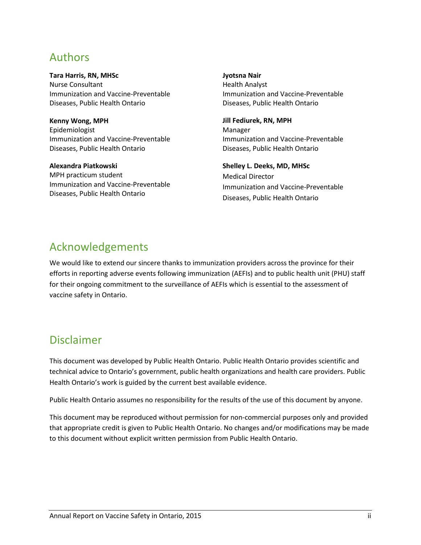#### Authors

**Tara Harris, RN, MHSc** Nurse Consultant Immunization and Vaccine-Preventable Diseases, Public Health Ontario

**Kenny Wong, MPH** Epidemiologist Immunization and Vaccine-Preventable Diseases, Public Health Ontario

**Alexandra Piatkowski** MPH practicum student Immunization and Vaccine-Preventable Diseases, Public Health Ontario

**Jyotsna Nair**

Health Analyst Immunization and Vaccine-Preventable Diseases, Public Health Ontario

**Jill Fediurek, RN, MPH** Manager Immunization and Vaccine-Preventable Diseases, Public Health Ontario

**Shelley L. Deeks, MD, MHSc** Medical Director Immunization and Vaccine-Preventable Diseases, Public Health Ontario

### Acknowledgements

We would like to extend our sincere thanks to immunization providers across the province for their efforts in reporting adverse events following immunization (AEFIs) and to public health unit (PHU) staff for their ongoing commitment to the surveillance of AEFIs which is essential to the assessment of vaccine safety in Ontario.

#### Disclaimer

This document was developed by Public Health Ontario. Public Health Ontario provides scientific and technical advice to Ontario's government, public health organizations and health care providers. Public Health Ontario's work is guided by the current best available evidence.

Public Health Ontario assumes no responsibility for the results of the use of this document by anyone.

This document may be reproduced without permission for non-commercial purposes only and provided that appropriate credit is given to Public Health Ontario. No changes and/or modifications may be made to this document without explicit written permission from Public Health Ontario.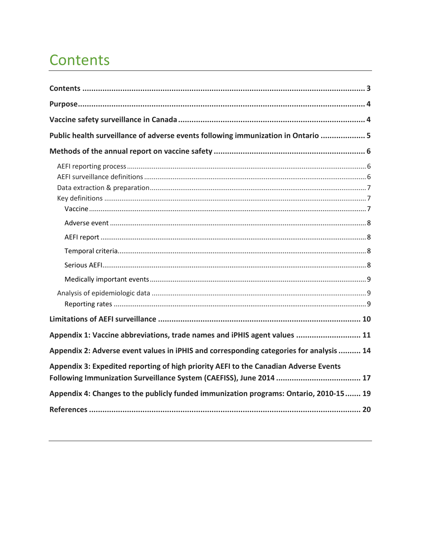### <span id="page-3-0"></span>Contents

| Public health surveillance of adverse events following immunization in Ontario  5                                                                           |
|-------------------------------------------------------------------------------------------------------------------------------------------------------------|
|                                                                                                                                                             |
|                                                                                                                                                             |
|                                                                                                                                                             |
|                                                                                                                                                             |
|                                                                                                                                                             |
|                                                                                                                                                             |
|                                                                                                                                                             |
|                                                                                                                                                             |
|                                                                                                                                                             |
| Appendix 1: Vaccine abbreviations, trade names and iPHIS agent values  11                                                                                   |
| Appendix 2: Adverse event values in iPHIS and corresponding categories for analysis  14                                                                     |
| Appendix 3: Expedited reporting of high priority AEFI to the Canadian Adverse Events<br>Following Immunization Surveillance System (CAEFISS), June 2014  17 |
| Appendix 4: Changes to the publicly funded immunization programs: Ontario, 2010-15 19                                                                       |
|                                                                                                                                                             |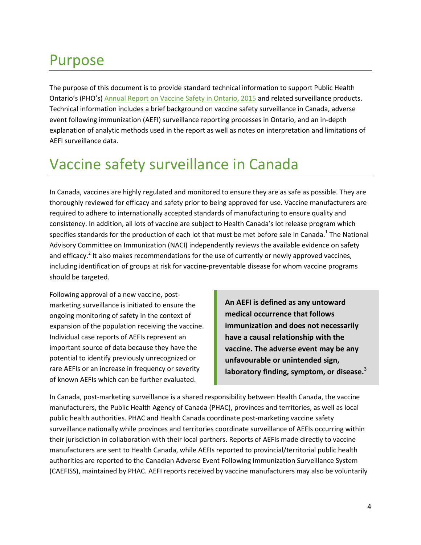### <span id="page-4-0"></span>Purpose

The purpose of this document is to provide standard technical information to support Public Health Ontario's (PHO's) [Annual Report on Vaccine Safety](http://www.publichealthontario.ca/en/BrowseByTopic/InfectiousDiseases/Pages/Vaccine-Safety.aspx%23.V1gTaTUYi70) in Ontario, 2015 and related surveillance products. Technical information includes a brief background on vaccine safety surveillance in Canada, adverse event following immunization (AEFI) surveillance reporting processes in Ontario, and an in-depth explanation of analytic methods used in the report as well as notes on interpretation and limitations of AEFI surveillance data.

### <span id="page-4-1"></span>Vaccine safety surveillance in Canada

In Canada, vaccines are highly regulated and monitored to ensure they are as safe as possible. They are thoroughly reviewed for efficacy and safety prior to being approved for use. Vaccine manufacturers are required to adhere to internationally accepted standards of manufacturing to ensure quality and consistency. In addition, all lots of vaccine are subject to Health Canada's lot release program which specifies standards for the production of each lot that must be met before sale in Canada.<sup>1</sup> The National Advisory Committee on Immunization (NACI) independently reviews the available evidence on safety and efficacy.<sup>2</sup> It also makes recommendations for the use of currently or newly approved vaccines, including identification of groups at risk for vaccine-preventable disease for whom vaccine programs should be targeted.

Following approval of a new vaccine, postmarketing surveillance is initiated to ensure the ongoing monitoring of safety in the context of expansion of the population receiving the vaccine. Individual case reports of AEFIs represent an important source of data because they have the potential to identify previously unrecognized or rare AEFIs or an increase in frequency or severity of known AEFIs which can be further evaluated.

**An AEFI is defined as any untoward medical occurrence that follows immunization and does not necessarily have a causal relationship with the vaccine. The adverse event may be any unfavourable or unintended sign, laboratory finding, symptom, or disease.**<sup>3</sup>

In Canada, post-marketing surveillance is a shared responsibility between Health Canada, the vaccine manufacturers, the Public Health Agency of Canada (PHAC), provinces and territories, as well as local public health authorities. PHAC and Health Canada coordinate post-marketing vaccine safety surveillance nationally while provinces and territories coordinate surveillance of AEFIs occurring within their jurisdiction in collaboration with their local partners. Reports of AEFIs made directly to vaccine manufacturers are sent to Health Canada, while AEFIs reported to provincial/territorial public health authorities are reported to the Canadian Adverse Event Following Immunization Surveillance System (CAEFISS), maintained by PHAC. AEFI reports received by vaccine manufacturers may also be voluntarily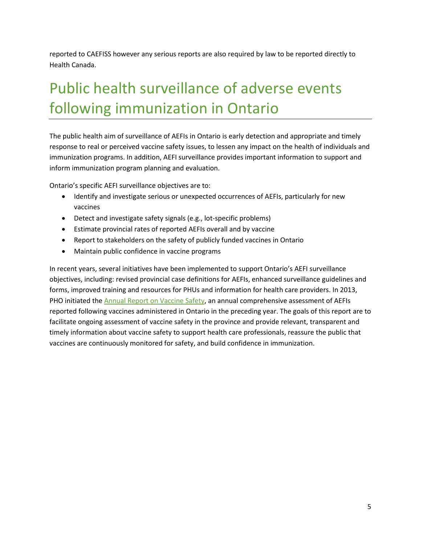reported to CAEFISS however any serious reports are also required by law to be reported directly to Health Canada.

### <span id="page-5-0"></span>Public health surveillance of adverse events following immunization in Ontario

The public health aim of surveillance of AEFIs in Ontario is early detection and appropriate and timely response to real or perceived vaccine safety issues, to lessen any impact on the health of individuals and immunization programs. In addition, AEFI surveillance provides important information to support and inform immunization program planning and evaluation.

Ontario's specific AEFI surveillance objectives are to:

- Identify and investigate serious or unexpected occurrences of AEFIs, particularly for new vaccines
- Detect and investigate safety signals (e.g., lot-specific problems)
- Estimate provincial rates of reported AEFIs overall and by vaccine
- Report to stakeholders on the safety of publicly funded vaccines in Ontario
- Maintain public confidence in vaccine programs

In recent years, several initiatives have been implemented to support Ontario's AEFI surveillance objectives, including: revised provincial case definitions for AEFIs, enhanced surveillance guidelines and forms, improved training and resources for PHUs and information for health care providers. In 2013, PHO initiated th[e Annual Report on Vaccine Safety,](http://www.publichealthontario.ca/en/BrowseByTopic/InfectiousDiseases/Pages/Vaccine-Safety.aspx%23.V1gTaTUYi70) an annual comprehensive assessment of AEFIs reported following vaccines administered in Ontario in the preceding year. The goals of this report are to facilitate ongoing assessment of vaccine safety in the province and provide relevant, transparent and timely information about vaccine safety to support health care professionals, reassure the public that vaccines are continuously monitored for safety, and build confidence in immunization.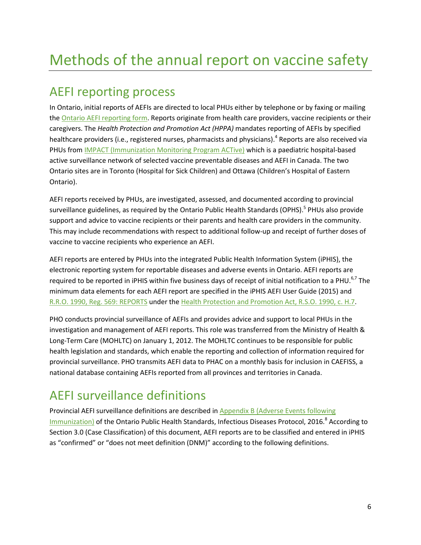# <span id="page-6-0"></span>Methods of the annual report on vaccine safety

### <span id="page-6-1"></span>AEFI reporting process

In Ontario, initial reports of AEFIs are directed to local PHUs either by telephone or by faxing or mailing the [Ontario AEFI reporting form.](http://www.publichealthontario.ca/en/eRepository/Report_Adverse_Event_Following_Immunization_Form_fillable_2013.pdf) Reports originate from health care providers, vaccine recipients or their caregivers. The *Health Protection and Promotion Act (HPPA)* mandates reporting of AEFIs by specified healthcare providers (i.e., registered nurses, pharmacists and physicians).<sup>4</sup> Reports are also received via PHUs fro[m IMPACT \(Immunization Monitoring Program ACTive\)](http://www.cps.ca/impact) which is a paediatric hospital-based active surveillance network of selected vaccine preventable diseases and AEFI in Canada. The two Ontario sites are in Toronto (Hospital for Sick Children) and Ottawa (Children's Hospital of Eastern Ontario).

AEFI reports received by PHUs, are investigated, assessed, and documented according to provincial surveillance guidelines, as required by the Ontario Public Health Standards (OPHS).<sup>5</sup> PHUs also provide support and advice to vaccine recipients or their parents and health care providers in the community. This may include recommendations with respect to additional follow-up and receipt of further doses of vaccine to vaccine recipients who experience an AEFI.

AEFI reports are entered by PHUs into the integrated Public Health Information System (iPHIS), the electronic reporting system for reportable diseases and adverse events in Ontario. AEFI reports are required to be reported in iPHIS within five business days of receipt of initial notification to a PHU.<sup>6,7</sup> The minimum data elements for each AEFI report are specified in the iPHIS AEFI User Guide (2015) and [R.R.O. 1990, Reg. 569: REPORTS](https://www.ontario.ca/laws/regulation/900569) under the [Health Protection and Promotion Act, R.S.O. 1990, c. H.7.](https://www.ontario.ca/laws/statute/90h07)

PHO conducts provincial surveillance of AEFIs and provides advice and support to local PHUs in the investigation and management of AEFI reports. This role was transferred from the Ministry of Health & Long-Term Care (MOHLTC) on January 1, 2012. The MOHLTC continues to be responsible for public health legislation and standards, which enable the reporting and collection of information required for provincial surveillance. PHO transmits AEFI data to PHAC on a monthly basis for inclusion in CAEFISS, a national database containing AEFIs reported from all provinces and territories in Canada.

### <span id="page-6-2"></span>AEFI surveillance definitions

Provincial AEFI surveillance definitions are described i[n Appendix B \(Adverse Events following](http://www.health.gov.on.ca/en/pro/programs/publichealth/oph_standards/docs/aefi_cd.pdf)  [Immunization\)](http://www.health.gov.on.ca/en/pro/programs/publichealth/oph_standards/docs/aefi_cd.pdf) of the Ontario Public Health Standards, Infectious Diseases Protocol, 2016.<sup>8</sup> According to Section 3.0 (Case Classification) of this document, AEFI reports are to be classified and entered in iPHIS as "confirmed" or "does not meet definition (DNM)" according to the following definitions.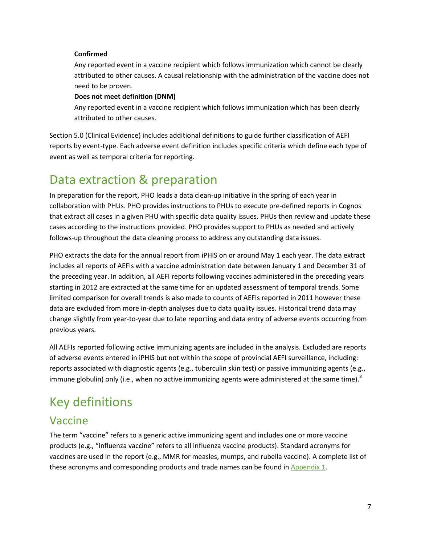#### **Confirmed**

Any reported event in a vaccine recipient which follows immunization which cannot be clearly attributed to other causes. A causal relationship with the administration of the vaccine does not need to be proven.

#### **Does not meet definition (DNM)**

Any reported event in a vaccine recipient which follows immunization which has been clearly attributed to other causes.

Section 5.0 (Clinical Evidence) includes additional definitions to guide further classification of AEFI reports by event-type. Each adverse event definition includes specific criteria which define each type of event as well as temporal criteria for reporting.

### <span id="page-7-0"></span>Data extraction & preparation

In preparation for the report, PHO leads a data clean-up initiative in the spring of each year in collaboration with PHUs. PHO provides instructions to PHUs to execute pre-defined reports in Cognos that extract all cases in a given PHU with specific data quality issues. PHUs then review and update these cases according to the instructions provided. PHO provides support to PHUs as needed and actively follows-up throughout the data cleaning process to address any outstanding data issues.

PHO extracts the data for the annual report from iPHIS on or around May 1 each year. The data extract includes all reports of AEFIs with a vaccine administration date between January 1 and December 31 of the preceding year. In addition, all AEFI reports following vaccines administered in the preceding years starting in 2012 are extracted at the same time for an updated assessment of temporal trends. Some limited comparison for overall trends is also made to counts of AEFIs reported in 2011 however these data are excluded from more in-depth analyses due to data quality issues. Historical trend data may change slightly from year-to-year due to late reporting and data entry of adverse events occurring from previous years.

All AEFIs reported following active immunizing agents are included in the analysis. Excluded are reports of adverse events entered in iPHIS but not within the scope of provincial AEFI surveillance, including: reports associated with diagnostic agents (e.g., tuberculin skin test) or passive immunizing agents (e.g., immune globulin) only (i.e., when no active immunizing agents were administered at the same time).<sup>8</sup>

### <span id="page-7-1"></span>Key definitions

#### <span id="page-7-2"></span>Vaccine

The term "vaccine" refers to a generic active immunizing agent and includes one or more vaccine products (e.g., "influenza vaccine" refers to all influenza vaccine products). Standard acronyms for vaccines are used in the report (e.g., MMR for measles, mumps, and rubella vaccine). A complete list of these acronyms and corresponding products and trade names can be found in [Appendix 1.](#page-11-0)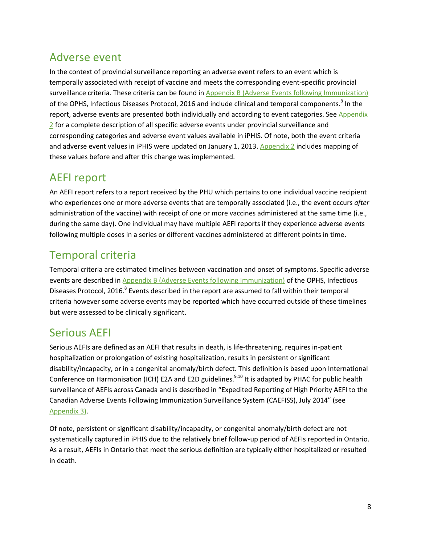#### <span id="page-8-0"></span>Adverse event

In the context of provincial surveillance reporting an adverse event refers to an event which is temporally associated with receipt of vaccine and meets the corresponding event-specific provincial surveillance criteria. These criteria can be found i[n Appendix B \(Adverse Events following Immunization\)](http://www.health.gov.on.ca/en/pro/programs/publichealth/oph_standards/docs/aefi_cd.pdf) of the OPHS, Infectious Diseases Protocol, 2016 and include clinical and temporal components.<sup>8</sup> In the report, adverse events are presented both individually and according to event categories. See Appendix [2](#page-14-0) for a complete description of all specific adverse events under provincial surveillance and corresponding categories and adverse event values available in iPHIS. Of note, both the event criteria and adverse event values in iPHIS were updated on January 1, 2013. [Appendix 2](#page-14-0) includes mapping of these values before and after this change was implemented.

#### <span id="page-8-1"></span>AEFI report

An AEFI report refers to a report received by the PHU which pertains to one individual vaccine recipient who experiences one or more adverse events that are temporally associated (i.e., the event occurs *after* administration of the vaccine) with receipt of one or more vaccines administered at the same time (i.e., during the same day). One individual may have multiple AEFI reports if they experience adverse events following multiple doses in a series or different vaccines administered at different points in time.

### <span id="page-8-2"></span>Temporal criteria

Temporal criteria are estimated timelines between vaccination and onset of symptoms. Specific adverse events are described in [Appendix B \(Adverse Events following Immunization\)](http://www.health.gov.on.ca/en/pro/programs/publichealth/oph_standards/docs/aefi_cd.pdf) of the OPHS, Infectious Diseases Protocol, 2016.<sup>8</sup> Events described in the report are assumed to fall within their temporal criteria however some adverse events may be reported which have occurred outside of these timelines but were assessed to be clinically significant.

### <span id="page-8-3"></span>Serious AEFI

Serious AEFIs are defined as an AEFI that results in death, is life-threatening, requires in-patient hospitalization or prolongation of existing hospitalization, results in persistent or significant disability/incapacity, or in a congenital anomaly/birth defect. This definition is based upon International Conference on Harmonisation (ICH) E2A and E2D guidelines.<sup>9,10</sup> It is adapted by PHAC for public health surveillance of AEFIs across Canada and is described in "Expedited Reporting of High Priority AEFI to the Canadian Adverse Events Following Immunization Surveillance System (CAEFISS), July 2014" (see [Appendix 3\)](#page-17-0).

Of note, persistent or significant disability/incapacity, or congenital anomaly/birth defect are not systematically captured in iPHIS due to the relatively brief follow-up period of AEFIs reported in Ontario. As a result, AEFIs in Ontario that meet the serious definition are typically either hospitalized or resulted in death.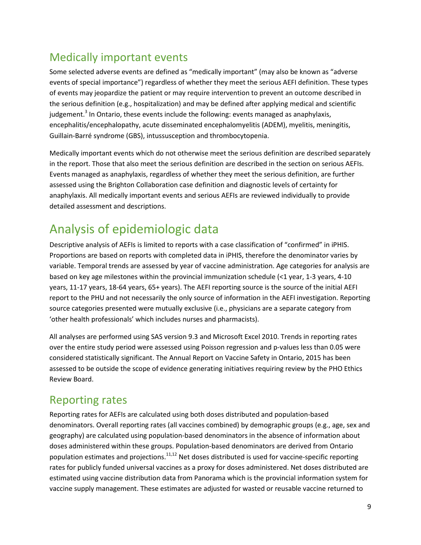#### <span id="page-9-0"></span>Medically important events

Some selected adverse events are defined as "medically important" (may also be known as "adverse events of special importance") regardless of whether they meet the serious AEFI definition. These types of events may jeopardize the patient or may require intervention to prevent an outcome described in the serious definition (e.g., hospitalization) and may be defined after applying medical and scientific judgement.<sup>3</sup> In Ontario, these events include the following: events managed as anaphylaxis, encephalitis/encephalopathy, acute disseminated encephalomyelitis (ADEM), myelitis, meningitis, Guillain-Barré syndrome (GBS), intussusception and thrombocytopenia.

Medically important events which do not otherwise meet the serious definition are described separately in the report. Those that also meet the serious definition are described in the section on serious AEFIs. Events managed as anaphylaxis, regardless of whether they meet the serious definition, are further assessed using the Brighton Collaboration case definition and diagnostic levels of certainty for anaphylaxis. All medically important events and serious AEFIs are reviewed individually to provide detailed assessment and descriptions.

### <span id="page-9-1"></span>Analysis of epidemiologic data

Descriptive analysis of AEFIs is limited to reports with a case classification of "confirmed" in iPHIS. Proportions are based on reports with completed data in iPHIS, therefore the denominator varies by variable. Temporal trends are assessed by year of vaccine administration. Age categories for analysis are based on key age milestones within the provincial immunization schedule (<1 year, 1-3 years, 4-10 years, 11-17 years, 18-64 years, 65+ years). The AEFI reporting source is the source of the initial AEFI report to the PHU and not necessarily the only source of information in the AEFI investigation. Reporting source categories presented were mutually exclusive (i.e., physicians are a separate category from 'other health professionals' which includes nurses and pharmacists).

All analyses are performed using SAS version 9.3 and Microsoft Excel 2010. Trends in reporting rates over the entire study period were assessed using Poisson regression and p-values less than 0.05 were considered statistically significant. The Annual Report on Vaccine Safety in Ontario, 2015 has been assessed to be outside the scope of evidence generating initiatives requiring review by the PHO Ethics Review Board.

#### <span id="page-9-2"></span>Reporting rates

Reporting rates for AEFIs are calculated using both doses distributed and population-based denominators. Overall reporting rates (all vaccines combined) by demographic groups (e.g., age, sex and geography) are calculated using population-based denominators in the absence of information about doses administered within these groups. Population-based denominators are derived from Ontario population estimates and projections.<sup>11,12</sup> Net doses distributed is used for vaccine-specific reporting rates for publicly funded universal vaccines as a proxy for doses administered. Net doses distributed are estimated using vaccine distribution data from Panorama which is the provincial information system for vaccine supply management. These estimates are adjusted for wasted or reusable vaccine returned to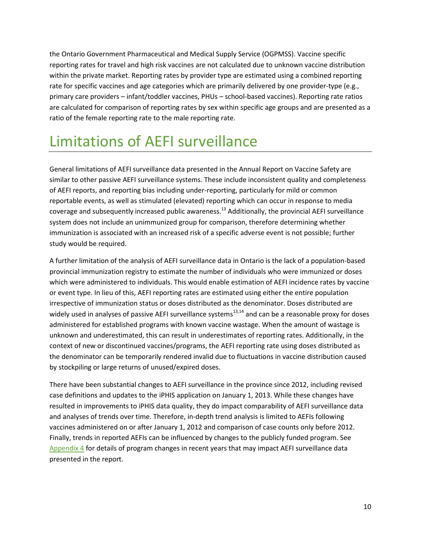the Ontario Government Pharmaceutical and Medical Supply Service (OGPMSS). Vaccine specific reporting rates for travel and high risk vaccines are not calculated due to unknown vaccine distribution within the private market. Reporting rates by provider type are estimated using a combined reporting rate for specific vaccines and age categories which are primarily delivered by one provider-type (e.g., primary care providers – infant/toddler vaccines, PHUs – school-based vaccines). Reporting rate ratios are calculated for comparison of reporting rates by sex within specific age groups and are presented as a ratio of the female reporting rate to the male reporting rate.

### <span id="page-10-0"></span>Limitations of AEFI surveillance

General limitations of AEFI surveillance data presented in the Annual Report on Vaccine Safety are similar to other passive AEFI surveillance systems. These include inconsistent quality and completeness of AEFI reports, and reporting bias including under-reporting, particularly for mild or common reportable events, as well as stimulated (elevated) reporting which can occur in response to media coverage and subsequently increased public awareness.<sup>13</sup> Additionally, the provincial AEFI surveillance system does not include an unimmunized group for comparison, therefore determining whether immunization is associated with an increased risk of a specific adverse event is not possible; further study would be required.

A further limitation of the analysis of AEFI surveillance data in Ontario is the lack of a population-based provincial immunization registry to estimate the number of individuals who were immunized or doses which were administered to individuals. This would enable estimation of AEFI incidence rates by vaccine or event type. In lieu of this, AEFI reporting rates are estimated using either the entire population irrespective of immunization status or doses distributed as the denominator. Doses distributed are widely used in analyses of passive AEFI surveillance systems $^{13,14}$  and can be a reasonable proxy for doses administered for established programs with known vaccine wastage. When the amount of wastage is unknown and underestimated, this can result in underestimates of reporting rates. Additionally, in the context of new or discontinued vaccines/programs, the AEFI reporting rate using doses distributed as the denominator can be temporarily rendered invalid due to fluctuations in vaccine distribution caused by stockpiling or large returns of unused/expired doses.

There have been substantial changes to AEFI surveillance in the province since 2012, including revised case definitions and updates to the iPHIS application on January 1, 2013. While these changes have resulted in improvements to iPHIS data quality, they do impact comparability of AEFI surveillance data and analyses of trends over time. Therefore, in-depth trend analysis is limited to AEFIs following vaccines administered on or after January 1, 2012 and comparison of case counts only before 2012. Finally, trends in reported AEFIs can be influenced by changes to the publicly funded program. See [Appendix 4](#page-19-0) for details of program changes in recent years that may impact AEFI surveillance data presented in the report.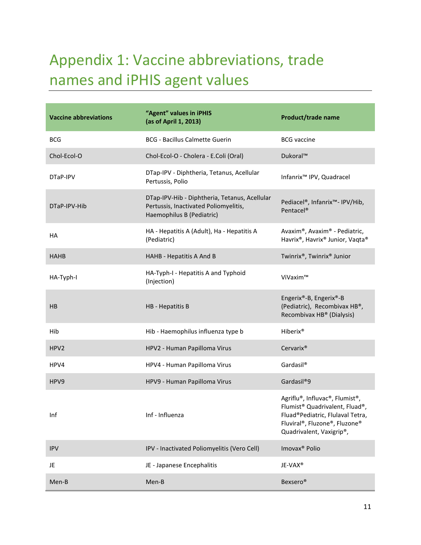# <span id="page-11-0"></span>Appendix 1: Vaccine abbreviations, trade names and iPHIS agent values

| <b>Vaccine abbreviations</b> | "Agent" values in iPHIS<br>(as of April 1, 2013)                                                                    | Product/trade name                                                                                                                                                                         |
|------------------------------|---------------------------------------------------------------------------------------------------------------------|--------------------------------------------------------------------------------------------------------------------------------------------------------------------------------------------|
| <b>BCG</b>                   | <b>BCG - Bacillus Calmette Guerin</b>                                                                               | <b>BCG</b> vaccine                                                                                                                                                                         |
| Chol-Ecol-O                  | Chol-Ecol-O - Cholera - E.Coli (Oral)                                                                               | Dukoral™                                                                                                                                                                                   |
| DTaP-IPV                     | DTap-IPV - Diphtheria, Tetanus, Acellular<br>Pertussis, Polio                                                       | Infanrix <sup>™</sup> IPV, Quadracel                                                                                                                                                       |
| DTaP-IPV-Hib                 | DTap-IPV-Hib - Diphtheria, Tetanus, Acellular<br>Pertussis, Inactivated Poliomyelitis,<br>Haemophilus B (Pediatric) | Pediacel®, Infanrix <sup>™</sup> - IPV/Hib,<br>Pentacel <sup>®</sup>                                                                                                                       |
| HA                           | HA - Hepatitis A (Adult), Ha - Hepatitis A<br>(Pediatric)                                                           | Avaxim®, Avaxim® - Pediatric,<br>Havrix®, Havrix® Junior, Vaqta®                                                                                                                           |
| <b>HAHB</b>                  | HAHB - Hepatitis A And B                                                                                            | Twinrix®, Twinrix® Junior                                                                                                                                                                  |
| HA-Typh-I                    | HA-Typh-I - Hepatitis A and Typhoid<br>(Injection)                                                                  | ViVaxim™                                                                                                                                                                                   |
| HB                           | HB - Hepatitis B                                                                                                    | Engerix®-B, Engerix®-B<br>(Pediatric), Recombivax HB®,<br>Recombivax HB® (Dialysis)                                                                                                        |
| Hib                          | Hib - Haemophilus influenza type b                                                                                  | Hiberix <sup>®</sup>                                                                                                                                                                       |
| HPV2                         | HPV2 - Human Papilloma Virus                                                                                        | Cervarix <sup>®</sup>                                                                                                                                                                      |
| HPV4                         | HPV4 - Human Papilloma Virus                                                                                        | Gardasil®                                                                                                                                                                                  |
| HPV9                         | HPV9 - Human Papilloma Virus                                                                                        | Gardasil <sup>®</sup> 9                                                                                                                                                                    |
| Inf                          | Inf - Influenza                                                                                                     | Agriflu®, Influvac®, Flumist®,<br>Flumist <sup>®</sup> Quadrivalent, Fluad <sup>®</sup> ,<br>Fluad®Pediatric, Flulaval Tetra,<br>Fluviral®, Fluzone®, Fluzone®<br>Quadrivalent, Vaxigrip®, |
| <b>IPV</b>                   | IPV - Inactivated Poliomyelitis (Vero Cell)                                                                         | Imovax <sup>®</sup> Polio                                                                                                                                                                  |
| JE                           | JE - Japanese Encephalitis                                                                                          | JE-VAX <sup>®</sup>                                                                                                                                                                        |
| Men-B                        | Men-B                                                                                                               | <b>Bexsero®</b>                                                                                                                                                                            |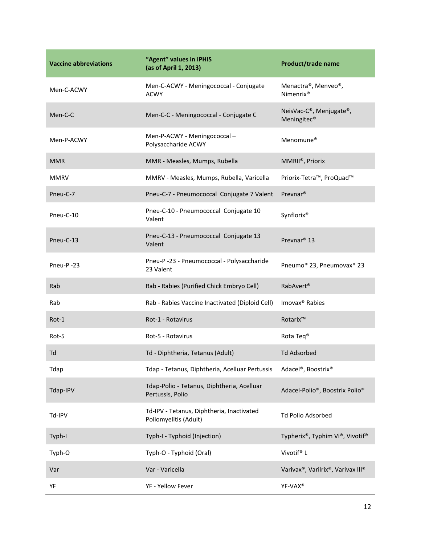| <b>Vaccine abbreviations</b> | "Agent" values in iPHIS<br>(as of April 1, 2013)                   | Product/trade name                                 |
|------------------------------|--------------------------------------------------------------------|----------------------------------------------------|
| Men-C-ACWY                   | Men-C-ACWY - Meningococcal - Conjugate<br><b>ACWY</b>              | Menactra®, Menveo®,<br>Nimenrix <sup>®</sup>       |
| Men-C-C                      | Men-C-C - Meningococcal - Conjugate C                              | NeisVac-C®, Menjugate®,<br>Meningitec <sup>®</sup> |
| Men-P-ACWY                   | Men-P-ACWY - Meningococcal -<br>Polysaccharide ACWY                | Menomune <sup>®</sup>                              |
| <b>MMR</b>                   | MMR - Measles, Mumps, Rubella                                      | MMRII®, Priorix                                    |
| <b>MMRV</b>                  | MMRV - Measles, Mumps, Rubella, Varicella                          | Priorix-Tetra™, ProQuad™                           |
| Pneu-C-7                     | Pneu-C-7 - Pneumococcal Conjugate 7 Valent                         | Prevnar <sup>®</sup>                               |
| Pneu-C-10                    | Pneu-C-10 - Pneumococcal Conjugate 10<br>Valent                    | Synflorix®                                         |
| Pneu-C-13                    | Pneu-C-13 - Pneumococcal Conjugate 13<br>Valent                    | Prevnar <sup>®</sup> 13                            |
| Pneu-P-23                    | Pneu-P-23 - Pneumococcal - Polysaccharide<br>23 Valent             | Pneumo® 23, Pneumovax® 23                          |
| Rab                          | Rab - Rabies (Purified Chick Embryo Cell)                          | RabAvert <sup>®</sup>                              |
| Rab                          | Rab - Rabies Vaccine Inactivated (Diploid Cell)                    | Imovax <sup>®</sup> Rabies                         |
| Rot-1                        | Rot-1 - Rotavirus                                                  | Rotarix™                                           |
| Rot-5                        | Rot-5 - Rotavirus                                                  | Rota Teq <sup>®</sup>                              |
| Td                           | Td - Diphtheria, Tetanus (Adult)                                   | <b>Td Adsorbed</b>                                 |
| Tdap                         | Tdap - Tetanus, Diphtheria, Acelluar Pertussis                     | Adacel®, Boostrix®                                 |
| Tdap-IPV                     | Tdap-Polio - Tetanus, Diphtheria, Acelluar<br>Pertussis, Polio     | Adacel-Polio®, Boostrix Polio®                     |
| Td-IPV                       | Td-IPV - Tetanus, Diphtheria, Inactivated<br>Poliomyelitis (Adult) | Td Polio Adsorbed                                  |
| Typh-I                       | Typh-I - Typhoid (Injection)                                       | Typherix®, Typhim Vi®, Vivotif®                    |
| Typh-O                       | Typh-O - Typhoid (Oral)                                            | Vivotif® L                                         |
| Var                          | Var - Varicella                                                    | Varivax®, Varilrix®, Varivax III®                  |
| YF                           | YF - Yellow Fever                                                  | YF-VAX <sup>®</sup>                                |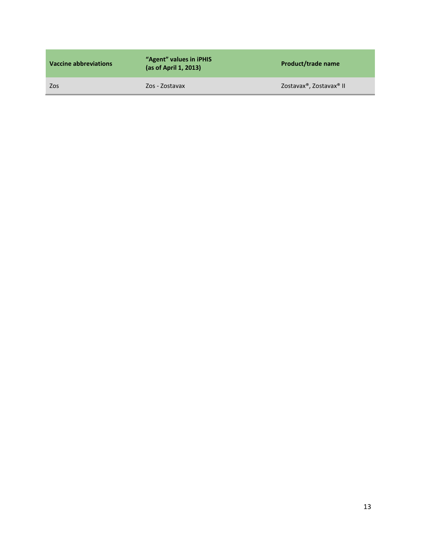| Vaccine abbreviations | "Agent" values in iPHIS<br>(as of April 1, 2013) | <b>Product/trade name</b> |
|-----------------------|--------------------------------------------------|---------------------------|
| Zos                   | Zos - Zostavax                                   | Zostavax®, Zostavax® II   |
|                       |                                                  |                           |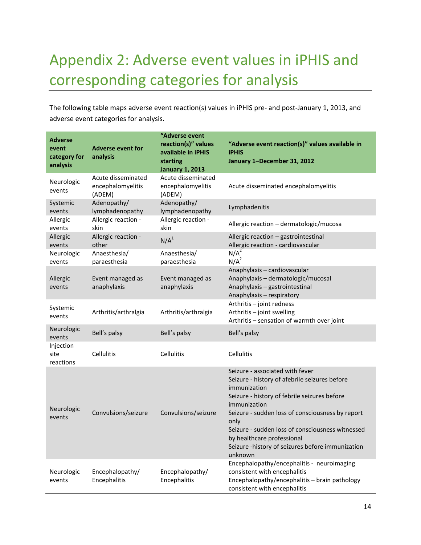# <span id="page-14-0"></span>Appendix 2: Adverse event values in iPHIS and corresponding categories for analysis

The following table maps adverse event reaction(s) values in iPHIS pre- and post-January 1, 2013, and adverse event categories for analysis.

| <b>Adverse</b><br>event<br>category for<br>analysis | <b>Adverse event for</b><br>analysis              | "Adverse event<br>reaction(s)" values<br>available in iPHIS<br>starting<br><b>January 1, 2013</b> | "Adverse event reaction(s)" values available in<br><b>iPHIS</b><br>January 1-December 31, 2012                                                                                                                                                                                                                                                                                |
|-----------------------------------------------------|---------------------------------------------------|---------------------------------------------------------------------------------------------------|-------------------------------------------------------------------------------------------------------------------------------------------------------------------------------------------------------------------------------------------------------------------------------------------------------------------------------------------------------------------------------|
| Neurologic<br>events                                | Acute disseminated<br>encephalomyelitis<br>(ADEM) | Acute disseminated<br>encephalomyelitis<br>(ADEM)                                                 | Acute disseminated encephalomyelitis                                                                                                                                                                                                                                                                                                                                          |
| Systemic<br>events                                  | Adenopathy/<br>lymphadenopathy                    | Adenopathy/<br>lymphadenopathy                                                                    | Lymphadenitis                                                                                                                                                                                                                                                                                                                                                                 |
| Allergic<br>events                                  | Allergic reaction -<br>skin                       | Allergic reaction -<br>skin                                                                       | Allergic reaction - dermatologic/mucosa                                                                                                                                                                                                                                                                                                                                       |
| Allergic<br>events                                  | Allergic reaction -<br>other                      | N/A <sup>1</sup>                                                                                  | Allergic reaction - gastrointestinal<br>Allergic reaction - cardiovascular                                                                                                                                                                                                                                                                                                    |
| Neurologic<br>events                                | Anaesthesia/<br>paraesthesia                      | Anaesthesia/<br>paraesthesia                                                                      | $N/A^2$<br>$N/A^2$                                                                                                                                                                                                                                                                                                                                                            |
| Allergic<br>events                                  | Event managed as<br>anaphylaxis                   | Event managed as<br>anaphylaxis                                                                   | Anaphylaxis - cardiovascular<br>Anaphylaxis - dermatologic/mucosal<br>Anaphylaxis - gastrointestinal<br>Anaphylaxis - respiratory                                                                                                                                                                                                                                             |
| Systemic<br>events                                  | Arthritis/arthralgia                              | Arthritis/arthralgia                                                                              | Arthritis - joint redness<br>Arthritis - joint swelling<br>Arthritis - sensation of warmth over joint                                                                                                                                                                                                                                                                         |
| Neurologic<br>events                                | Bell's palsy                                      | Bell's palsy                                                                                      | Bell's palsy                                                                                                                                                                                                                                                                                                                                                                  |
| Injection<br>site<br>reactions                      | <b>Cellulitis</b>                                 | Cellulitis                                                                                        | Cellulitis                                                                                                                                                                                                                                                                                                                                                                    |
| Neurologic<br>events                                | Convulsions/seizure                               | Convulsions/seizure                                                                               | Seizure - associated with fever<br>Seizure - history of afebrile seizures before<br>immunization<br>Seizure - history of febrile seizures before<br>immunization<br>Seizure - sudden loss of consciousness by report<br>only<br>Seizure - sudden loss of consciousness witnessed<br>by healthcare professional<br>Seizure -history of seizures before immunization<br>unknown |
| Neurologic<br>events                                | Encephalopathy/<br>Encephalitis                   | Encephalopathy/<br>Encephalitis                                                                   | Encephalopathy/encephalitis - neuroimaging<br>consistent with encephalitis<br>Encephalopathy/encephalitis - brain pathology<br>consistent with encephalitis                                                                                                                                                                                                                   |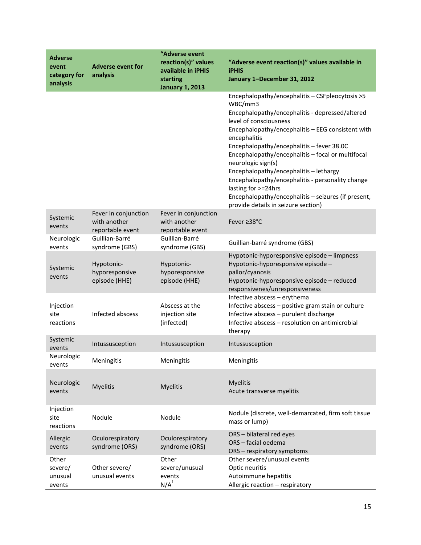| <b>Adverse</b><br>event<br>category for | <b>Adverse event for</b><br>analysis                     | "Adverse event<br>reaction(s)" values<br>available in iPHIS<br>starting | "Adverse event reaction(s)" values available in<br><b>iPHIS</b><br>January 1-December 31, 2012                                                                                                                                                                                                                                                                                                                                                                                                                                                           |
|-----------------------------------------|----------------------------------------------------------|-------------------------------------------------------------------------|----------------------------------------------------------------------------------------------------------------------------------------------------------------------------------------------------------------------------------------------------------------------------------------------------------------------------------------------------------------------------------------------------------------------------------------------------------------------------------------------------------------------------------------------------------|
| analysis                                |                                                          | <b>January 1, 2013</b>                                                  |                                                                                                                                                                                                                                                                                                                                                                                                                                                                                                                                                          |
|                                         |                                                          |                                                                         | Encephalopathy/encephalitis - CSFpleocytosis > 5<br>WBC/mm3<br>Encephalopathy/encephalitis - depressed/altered<br>level of consciousness<br>Encephalopathy/encephalitis - EEG consistent with<br>encephalitis<br>Encephalopathy/encephalitis - fever 38.0C<br>Encephalopathy/encephalitis - focal or multifocal<br>neurologic sign(s)<br>Encephalopathy/encephalitis - lethargy<br>Encephalopathy/encephalitis - personality change<br>lasting for >=24hrs<br>Encephalopathy/encephalitis - seizures (if present,<br>provide details in seizure section) |
| Systemic<br>events                      | Fever in conjunction<br>with another<br>reportable event | Fever in conjunction<br>with another<br>reportable event                | Fever ≥38°C                                                                                                                                                                                                                                                                                                                                                                                                                                                                                                                                              |
| Neurologic<br>events                    | Guillian-Barré<br>syndrome (GBS)                         | Guillian-Barré<br>syndrome (GBS)                                        | Guillian-barré syndrome (GBS)                                                                                                                                                                                                                                                                                                                                                                                                                                                                                                                            |
| Systemic<br>events                      | Hypotonic-<br>hyporesponsive<br>episode (HHE)            | Hypotonic-<br>hyporesponsive<br>episode (HHE)                           | Hypotonic-hyporesponsive episode - limpness<br>Hypotonic-hyporesponsive episode -<br>pallor/cyanosis<br>Hypotonic-hyporesponsive episode - reduced<br>responsivenes/unresponsiveness                                                                                                                                                                                                                                                                                                                                                                     |
| Injection<br>site<br>reactions          | Infected abscess                                         | Abscess at the<br>injection site<br>(infected)                          | Infective abscess - erythema<br>Infective abscess - positive gram stain or culture<br>Infective abscess - purulent discharge<br>Infective abscess - resolution on antimicrobial<br>therapy                                                                                                                                                                                                                                                                                                                                                               |
| Systemic<br>events                      | Intussusception                                          | Intussusception                                                         | Intussusception                                                                                                                                                                                                                                                                                                                                                                                                                                                                                                                                          |
| Neurologic<br>events                    | Meningitis                                               | Meningitis                                                              | Meningitis                                                                                                                                                                                                                                                                                                                                                                                                                                                                                                                                               |
| Neurologic<br>events                    | <b>Myelitis</b>                                          | <b>Myelitis</b>                                                         | <b>Myelitis</b><br>Acute transverse myelitis                                                                                                                                                                                                                                                                                                                                                                                                                                                                                                             |
| Injection<br>site<br>reactions          | Nodule                                                   | Nodule                                                                  | Nodule (discrete, well-demarcated, firm soft tissue<br>mass or lump)                                                                                                                                                                                                                                                                                                                                                                                                                                                                                     |
| Allergic<br>events                      | Oculorespiratory<br>syndrome (ORS)                       | Oculorespiratory<br>syndrome (ORS)                                      | ORS - bilateral red eyes<br>ORS - facial oedema<br>ORS - respiratory symptoms                                                                                                                                                                                                                                                                                                                                                                                                                                                                            |
| Other<br>severe/<br>unusual<br>events   | Other severe/<br>unusual events                          | Other<br>severe/unusual<br>events<br>N/A <sup>1</sup>                   | Other severe/unusual events<br>Optic neuritis<br>Autoimmune hepatitis<br>Allergic reaction - respiratory                                                                                                                                                                                                                                                                                                                                                                                                                                                 |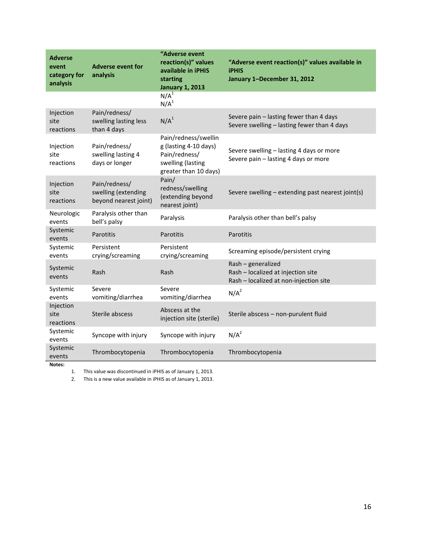| <b>Adverse</b><br>event<br>category for<br>analysis | <b>Adverse event for</b><br>analysis                          | "Adverse event<br>reaction(s)" values<br>available in iPHIS<br>starting<br><b>January 1, 2013</b>            | "Adverse event reaction(s)" values available in<br><b>iPHIS</b><br>January 1-December 31, 2012     |
|-----------------------------------------------------|---------------------------------------------------------------|--------------------------------------------------------------------------------------------------------------|----------------------------------------------------------------------------------------------------|
|                                                     |                                                               | $N/A^T$<br>N/A <sup>1</sup>                                                                                  |                                                                                                    |
| Injection<br>site<br>reactions                      | Pain/redness/<br>swelling lasting less<br>than 4 days         | N/A <sup>1</sup>                                                                                             | Severe pain - lasting fewer than 4 days<br>Severe swelling - lasting fewer than 4 days             |
| Injection<br>site<br>reactions                      | Pain/redness/<br>swelling lasting 4<br>days or longer         | Pain/redness/swellin<br>g (lasting 4-10 days)<br>Pain/redness/<br>swelling (lasting<br>greater than 10 days) | Severe swelling - lasting 4 days or more<br>Severe pain - lasting 4 days or more                   |
| Injection<br>site<br>reactions                      | Pain/redness/<br>swelling (extending<br>beyond nearest joint) | Pain/<br>redness/swelling<br>(extending beyond<br>nearest joint)                                             | Severe swelling - extending past nearest joint(s)                                                  |
| Neurologic<br>events                                | Paralysis other than<br>bell's palsy                          | Paralysis                                                                                                    | Paralysis other than bell's palsy                                                                  |
| Systemic<br>events                                  | Parotitis                                                     | Parotitis                                                                                                    | Parotitis                                                                                          |
| Systemic<br>events                                  | Persistent<br>crying/screaming                                | Persistent<br>crying/screaming                                                                               | Screaming episode/persistent crying                                                                |
| Systemic<br>events                                  | Rash                                                          | Rash                                                                                                         | Rash - generalized<br>Rash - localized at injection site<br>Rash - localized at non-injection site |
| Systemic<br>events                                  | Severe<br>vomiting/diarrhea                                   | Severe<br>vomiting/diarrhea                                                                                  | $N/A^2$                                                                                            |
| Injection<br>site<br>reactions                      | Sterile abscess                                               | Abscess at the<br>injection site (sterile)                                                                   | Sterile abscess - non-purulent fluid                                                               |
| Systemic<br>events                                  | Syncope with injury                                           | Syncope with injury                                                                                          | $N/A^2$                                                                                            |
| Systemic<br>events<br>Notes:                        | Thrombocytopenia                                              | Thrombocytopenia                                                                                             | Thrombocytopenia                                                                                   |

1. This value was discontinued in iPHIS as of January 1, 2013.

2. This is a new value available in iPHIS as of January 1, 2013.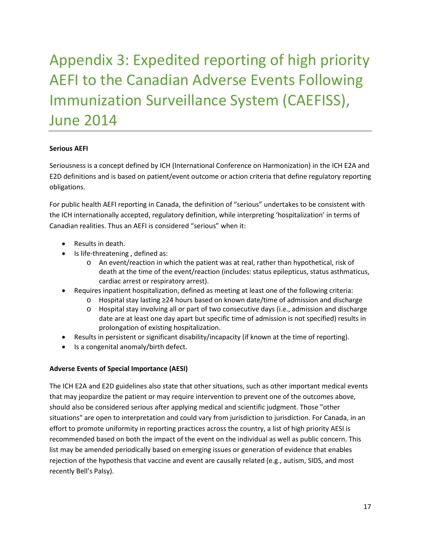# <span id="page-17-0"></span>Appendix 3: Expedited reporting of high priority AEFI to the Canadian Adverse Events Following Immunization Surveillance System (CAEFISS), June 2014

#### **Serious AEFI**

Seriousness is a concept defined by ICH (International Conference on Harmonization) in the ICH E2A and E2D definitions and is based on patient/event outcome or action criteria that define regulatory reporting obligations.

For public health AEFI reporting in Canada, the definition of "serious" undertakes to be consistent with the ICH internationally accepted, regulatory definition, while interpreting 'hospitalization' in terms of Canadian realities. Thus an AEFI is considered "serious" when it:

- Results in death.
- Is life-threatening , defined as:
	- o An event/reaction in which the patient was at real, rather than hypothetical, risk of death at the time of the event/reaction (includes: status epilepticus, status asthmaticus, cardiac arrest or respiratory arrest).
- Requires inpatient hospitalization, defined as meeting at least one of the following criteria:
	- o Hospital stay lasting ≥24 hours based on known date/time of admission and discharge
	- o Hospital stay involving all or part of two consecutive days (i.e., admission and discharge date are at least one day apart but specific time of admission is not specified) results in prolongation of existing hospitalization.
- Results in persistent or significant disability/incapacity (if known at the time of reporting).
- Is a congenital anomaly/birth defect.

#### **Adverse Events of Special Importance (AESI)**

The ICH E2A and E2D guidelines also state that other situations, such as other important medical events that may jeopardize the patient or may require intervention to prevent one of the outcomes above, should also be considered serious after applying medical and scientific judgment. Those "other situations" are open to interpretation and could vary from jurisdiction to jurisdiction. For Canada, in an effort to promote uniformity in reporting practices across the country, a list of high priority AESI is recommended based on both the impact of the event on the individual as well as public concern. This list may be amended periodically based on emerging issues or generation of evidence that enables rejection of the hypothesis that vaccine and event are causally related (e.g., autism, SIDS, and most recently Bell's Palsy).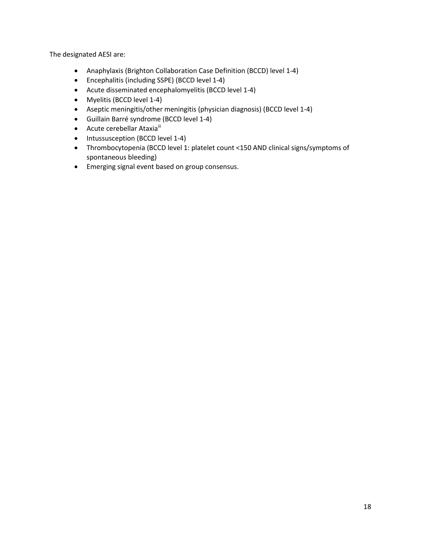The designated AESI are:

- Anaphylaxis (Brighton Collaboration Case Definition (BCCD) level 1-4)
- Encephalitis (including SSPE) (BCCD level 1-4)
- Acute disseminated encephalomyelitis (BCCD level 1-4)
- Myelitis (BCCD level 1-4)
- Aseptic meningitis/other meningitis (physician diagnosis) (BCCD level 1-4)
- Guillain Barré syndrome (BCCD level 1-4)
- Acute cerebellar Ataxia<sup>iii</sup>
- Intussusception (BCCD level 1-4)
- Thrombocytopenia (BCCD level 1: platelet count <150 AND clinical signs/symptoms of spontaneous bleeding)
- Emerging signal event based on group consensus.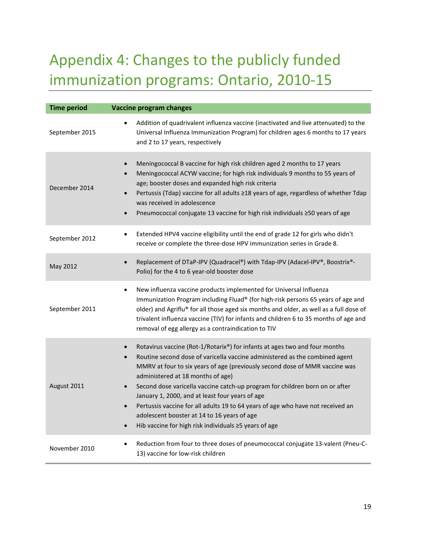# <span id="page-19-0"></span>Appendix 4: Changes to the publicly funded immunization programs: Ontario, 2010-15

| <b>Time period</b> | <b>Vaccine program changes</b>                                                                                                                                                                                                                                                                                                                                                                                                                                                                                                                                                                                                                                  |
|--------------------|-----------------------------------------------------------------------------------------------------------------------------------------------------------------------------------------------------------------------------------------------------------------------------------------------------------------------------------------------------------------------------------------------------------------------------------------------------------------------------------------------------------------------------------------------------------------------------------------------------------------------------------------------------------------|
| September 2015     | Addition of quadrivalent influenza vaccine (inactivated and live attenuated) to the<br>$\bullet$<br>Universal Influenza Immunization Program) for children ages 6 months to 17 years<br>and 2 to 17 years, respectively                                                                                                                                                                                                                                                                                                                                                                                                                                         |
| December 2014      | Meningococcal B vaccine for high risk children aged 2 months to 17 years<br>$\bullet$<br>Meningococcal ACYW vaccine; for high risk individuals 9 months to 55 years of<br>age; booster doses and expanded high risk criteria<br>Pertussis (Tdap) vaccine for all adults ≥18 years of age, regardless of whether Tdap<br>was received in adolescence<br>Pneumococcal conjugate 13 vaccine for high risk individuals ≥50 years of age<br>$\bullet$                                                                                                                                                                                                                |
| September 2012     | Extended HPV4 vaccine eligibility until the end of grade 12 for girls who didn't<br>$\bullet$<br>receive or complete the three-dose HPV immunization series in Grade 8.                                                                                                                                                                                                                                                                                                                                                                                                                                                                                         |
| May 2012           | Replacement of DTaP-IPV (Quadracel®) with Tdap-IPV (Adacel-IPV®, Boostrix®-<br>$\bullet$<br>Polio) for the 4 to 6 year-old booster dose                                                                                                                                                                                                                                                                                                                                                                                                                                                                                                                         |
| September 2011     | New influenza vaccine products implemented for Universal Influenza<br>$\bullet$<br>Immunization Program including Fluad® (for high-risk persons 65 years of age and<br>older) and Agriflu® for all those aged six months and older, as well as a full dose of<br>trivalent influenza vaccine (TIV) for infants and children 6 to 35 months of age and<br>removal of egg allergy as a contraindication to TIV                                                                                                                                                                                                                                                    |
| August 2011        | Rotavirus vaccine (Rot-1/Rotarix®) for infants at ages two and four months<br>$\bullet$<br>Routine second dose of varicella vaccine administered as the combined agent<br>MMRV at four to six years of age (previously second dose of MMR vaccine was<br>administered at 18 months of age)<br>Second dose varicella vaccine catch-up program for children born on or after<br>$\bullet$<br>January 1, 2000, and at least four years of age<br>Pertussis vaccine for all adults 19 to 64 years of age who have not received an<br>$\bullet$<br>adolescent booster at 14 to 16 years of age<br>Hib vaccine for high risk individuals ≥5 years of age<br>$\bullet$ |
| November 2010      | Reduction from four to three doses of pneumococcal conjugate 13-valent (Pneu-C-<br>$\bullet$<br>13) vaccine for low-risk children                                                                                                                                                                                                                                                                                                                                                                                                                                                                                                                               |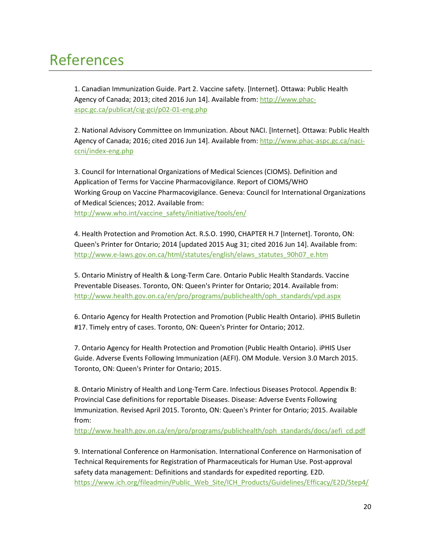### <span id="page-20-0"></span>References

1. Canadian Immunization Guide. Part 2. Vaccine safety. [Internet]. Ottawa: Public Health Agency of Canada; 2013; cited 2016 Jun 14]. Available from: [http://www.phac](http://www.phac-aspc.gc.ca/publicat/cig-gci/p02-01-eng.php)[aspc.gc.ca/publicat/cig-gci/p02-01-eng.php](http://www.phac-aspc.gc.ca/publicat/cig-gci/p02-01-eng.php)

2. National Advisory Committee on Immunization. About NACI. [Internet]. Ottawa: Public Health Agency of Canada; 2016; cited 2016 Jun 14]. Available from: [http://www.phac-aspc.gc.ca/naci](http://www.phac-aspc.gc.ca/naci-ccni/index-eng.php)[ccni/index-eng.php](http://www.phac-aspc.gc.ca/naci-ccni/index-eng.php)

3. Council for International Organizations of Medical Sciences (CIOMS). Definition and Application of Terms for Vaccine Pharmacovigilance. Report of CIOMS/WHO Working Group on Vaccine Pharmacovigilance. Geneva: Council for International Organizations of Medical Sciences; 2012. Available from: [http://www.who.int/vaccine\\_safety/initiative/tools/en/](http://www.who.int/vaccine_safety/initiative/tools/en/)

4. Health Protection and Promotion Act. R.S.O. 1990, CHAPTER H.7 [Internet]. Toronto, ON: Queen's Printer for Ontario; 2014 [updated 2015 Aug 31; cited 2016 Jun 14]. Available from: [http://www.e-laws.gov.on.ca/html/statutes/english/elaws\\_statutes\\_90h07\\_e.htm](http://www.e-laws.gov.on.ca/html/statutes/english/elaws_statutes_90h07_e.htm)

5. Ontario Ministry of Health & Long-Term Care. Ontario Public Health Standards. Vaccine Preventable Diseases. Toronto, ON: Queen's Printer for Ontario; 2014. Available from: [http://www.health.gov.on.ca/en/pro/programs/publichealth/oph\\_standards/vpd.aspx](http://www.health.gov.on.ca/en/pro/programs/publichealth/oph_standards/vpd.aspx)

6. Ontario Agency for Health Protection and Promotion (Public Health Ontario). iPHIS Bulletin #17. Timely entry of cases. Toronto, ON: Queen's Printer for Ontario; 2012.

7. Ontario Agency for Health Protection and Promotion (Public Health Ontario). iPHIS User Guide. Adverse Events Following Immunization (AEFI). OM Module. Version 3.0 March 2015. Toronto, ON: Queen's Printer for Ontario; 2015.

8. Ontario Ministry of Health and Long-Term Care. Infectious Diseases Protocol. Appendix B: Provincial Case definitions for reportable Diseases. Disease: Adverse Events Following Immunization. Revised April 2015. Toronto, ON: Queen's Printer for Ontario; 2015. Available from:

[http://www.health.gov.on.ca/en/pro/programs/publichealth/oph\\_standards/docs/aefi\\_cd.pdf](http://www.health.gov.on.ca/en/pro/programs/publichealth/oph_standards/docs/aefi_cd.pdf)

9. International Conference on Harmonisation. International Conference on Harmonisation of Technical Requirements for Registration of Pharmaceuticals for Human Use. Post-approval safety data management: Definitions and standards for expedited reporting. E2D. [https://www.ich.org/fileadmin/Public\\_Web\\_Site/ICH\\_Products/Guidelines/Efficacy/E2D/Step4/](https://www.ich.org/fileadmin/Public_Web_Site/ICH_Products/Guidelines/Efficacy/E2D/Step4/E2D_Guideline.pdf)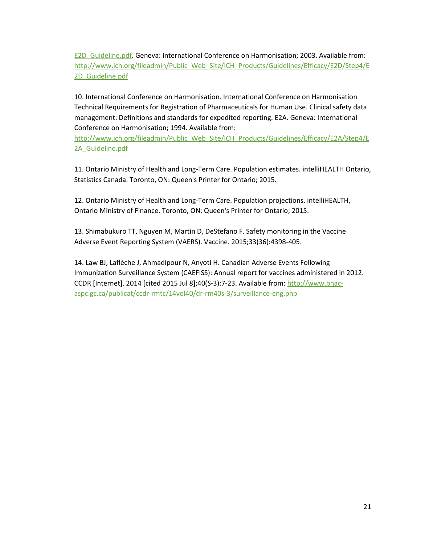[E2D\\_Guideline.pdf.](https://www.ich.org/fileadmin/Public_Web_Site/ICH_Products/Guidelines/Efficacy/E2D/Step4/E2D_Guideline.pdf) Geneva: International Conference on Harmonisation; 2003. Available from: [http://www.ich.org/fileadmin/Public\\_Web\\_Site/ICH\\_Products/Guidelines/Efficacy/E2D/Step4/E](http://www.ich.org/fileadmin/Public_Web_Site/ICH_Products/Guidelines/Efficacy/E2D/Step4/E2D_Guideline.pdf) 2D Guideline.pdf

10. International Conference on Harmonisation. International Conference on Harmonisation Technical Requirements for Registration of Pharmaceuticals for Human Use. Clinical safety data management: Definitions and standards for expedited reporting. E2A. Geneva: International Conference on Harmonisation; 1994. Available from:

[http://www.ich.org/fileadmin/Public\\_Web\\_Site/ICH\\_Products/Guidelines/Efficacy/E2A/Step4/E](http://www.ich.org/fileadmin/Public_Web_Site/ICH_Products/Guidelines/Efficacy/E2A/Step4/E2A_Guideline.pdf) [2A\\_Guideline.pdf](http://www.ich.org/fileadmin/Public_Web_Site/ICH_Products/Guidelines/Efficacy/E2A/Step4/E2A_Guideline.pdf)

11. Ontario Ministry of Health and Long-Term Care. Population estimates. intelliHEALTH Ontario, Statistics Canada. Toronto, ON: Queen's Printer for Ontario; 2015.

12. Ontario Ministry of Health and Long-Term Care. Population projections. intelliHEALTH, Ontario Ministry of Finance. Toronto, ON: Queen's Printer for Ontario; 2015.

13. Shimabukuro TT, Nguyen M, Martin D, DeStefano F. Safety monitoring in the Vaccine Adverse Event Reporting System (VAERS). Vaccine. 2015;33(36):4398-405.

14. Law BJ, Laflèche J, Ahmadipour N, Anyoti H. Canadian Adverse Events Following Immunization Surveillance System (CAEFISS): Annual report for vaccines administered in 2012. CCDR [Internet]. 2014 [cited 2015 Jul 8];40(S-3):7-23. Available from[: http://www.phac](http://www.phac-aspc.gc.ca/publicat/ccdr-rmtc/14vol40/dr-rm40s-3/surveillance-eng.php)[aspc.gc.ca/publicat/ccdr-rmtc/14vol40/dr-rm40s-3/surveillance-eng.php](http://www.phac-aspc.gc.ca/publicat/ccdr-rmtc/14vol40/dr-rm40s-3/surveillance-eng.php)